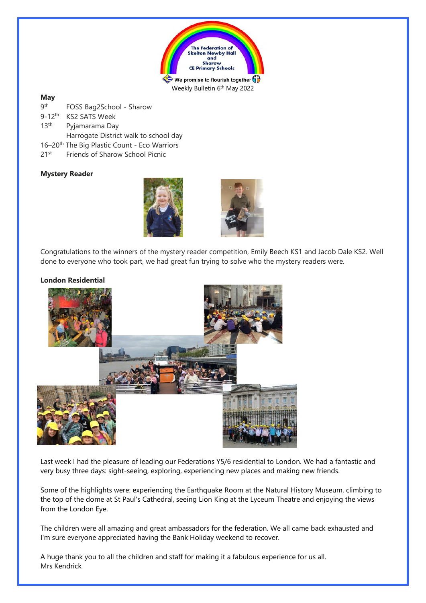

Weekly Bulletin 6<sup>th</sup> May 2022

# **May**

| <b>gth</b>             | FOSS Bag2School - Sharow                                 |
|------------------------|----------------------------------------------------------|
| $9 - 12$ <sup>th</sup> | <b>KS2 SATS Week</b>                                     |
| 13 <sup>th</sup>       | Pyjamarama Day                                           |
|                        | Harrogate District walk to school day                    |
|                        | 16-20 <sup>th</sup> The Big Plastic Count - Eco Warriors |
| 21st                   | Friends of Sharow School Picnic                          |

# **Mystery Reader**





Congratulations to the winners of the mystery reader competition, Emily Beech KS1 and Jacob Dale KS2. Well done to everyone who took part, we had great fun trying to solve who the mystery readers were.

# **London Residential**



Last week I had the pleasure of leading our Federations Y5/6 residential to London. We had a fantastic and very busy three days: sight-seeing, exploring, experiencing new places and making new friends.

Some of the highlights were: experiencing the Earthquake Room at the Natural History Museum, climbing to the top of the dome at St Paul's Cathedral, seeing Lion King at the Lyceum Theatre and enjoying the views from the London Eye.

The children were all amazing and great ambassadors for the federation. We all came back exhausted and I'm sure everyone appreciated having the Bank Holiday weekend to recover.

A huge thank you to all the children and staff for making it a fabulous experience for us all. Mrs Kendrick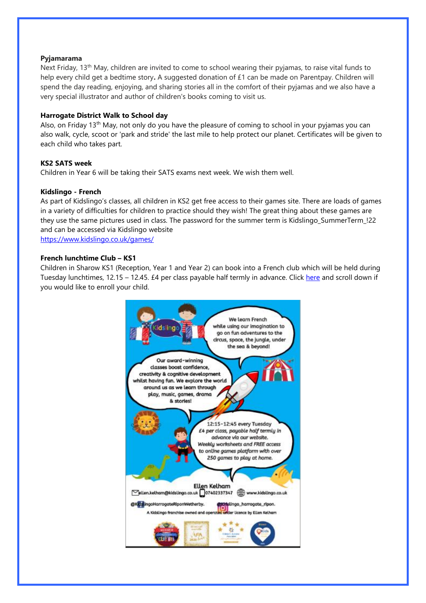#### **Pyjamarama**

Next Friday, 13<sup>th</sup> May, children are invited to come to school wearing their pyjamas, to raise vital funds to help every child get a bedtime story**.** A suggested donation of £1 can be made on Parentpay. Children will spend the day reading, enjoying, and sharing stories all in the comfort of their pyjamas and we also have a very special illustrator and author of children's books coming to visit us.

## **Harrogate District Walk to School day**

Also, on Friday 13th May, not only do you have the pleasure of coming to school in your pyjamas you can also walk, cycle, scoot or 'park and stride' the last mile to help protect our planet. Certificates will be given to each child who takes part.

#### **KS2 SATS week**

Children in Year 6 will be taking their SATS exams next week. We wish them well.

#### **Kidslingo - French**

As part of Kidslingo's classes, all children in KS2 get free access to their games site. There are loads of games in a variety of difficulties for children to practice should they wish! The great thing about these games are they use the same pictures used in class. The password for the summer term is Kidslingo\_SummerTerm\_!22 and can be accessed via Kidslingo website <https://www.kidslingo.co.uk/games/>

#### **French lunchtime Club – KS1**

Children in Sharow KS1 (Reception, Year 1 and Year 2) can book into a French club which will be held during Tuesday lunchtimes, 12.15 – 12.45. £4 per class payable half termly in advance. Click [here](https://www.kidslingo.co.uk/area/french-classes-harrogate-ripon/) and scroll down if you would like to enroll your child.

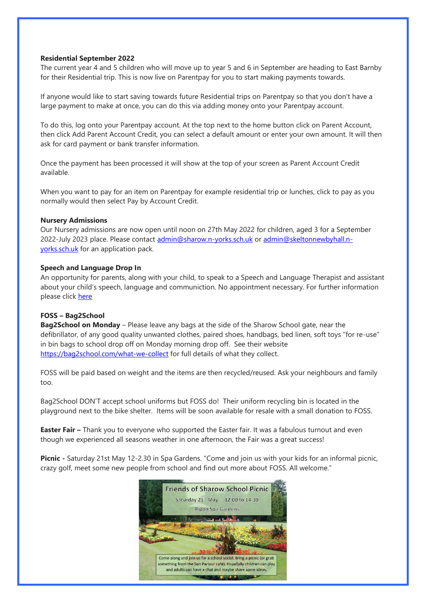### **Residential September 2022**

The current year 4 and 5 children who will move up to year 5 and 6 in September are heading to East Barnby for their Residential trip. This is now live on Parentpay for you to start making payments towards.

If anyone would like to start saving towards future Residential trips on Parentpay so that you don't have a large payment to make at once, you can do this via adding money onto your Parentpay account.

To do this, log onto your Parentpay account. At the top next to the home button click on Parent Account, then click Add Parent Account Credit, you can select a default amount or enter your own amount. It will then ask for card payment or bank transfer information.

Once the payment has been processed it will show at the top of your screen as Parent Account Credit available.

When you want to pay for an item on Parentpay for example residential trip or lunches, click to pay as you normally would then select Pay by Account Credit.

### **Nursery Admissions**

Our Nursery admissions are now open until noon on 27th May 2022 for children, aged 3 for a September 2022-July 2023 place. Please contact [admin@sharow.n-yorks.sch.uk](mailto:admin@sharow.n-yorks.sch.uk) or [admin@skeltonnewbyhall.n](mailto:admin@skeltonnewbyhall.n-yorks.sch.uk)[yorks.sch.uk](mailto:admin@skeltonnewbyhall.n-yorks.sch.uk) for an application pack.

#### **Speech and Language Drop In**

An opportunity for parents, along with your child, to speak to a Speech and Language Therapist and assistant about your child's speech, language and communiction. No appointment necessary. For further information please click [here](file:///C:/Users/boro0/Sharow%20CofE%20Primary%20School/School%20Office%20-%20School%20Office%20Documents/Caroline/1%20NEWSLETTER/Attachments/Parent%20Speech%20&%20Language%20Drop%20In%20-%20Harrogate%20%20flyer%20new%20pdf.pdf)

### **FOSS – Bag2School**

**Bag2School on Monday** – Please leave any bags at the side of the Sharow School gate, near the defibrillator, of any good quality unwanted clothes, paired shoes, handbags, bed linen, soft toys "for re-use" in bin bags to school drop off on Monday morning drop off. See their website <https://bag2school.com/what-we-collect> for full details of what they collect.

FOSS will be paid based on weight and the items are then recycled/reused. Ask your neighbours and family too.

Bag2School DON'T accept school uniforms but FOSS do! Their uniform recycling bin is located in the playground next to the bike shelter. Items will be soon available for resale with a small donation to FOSS.

**Easter Fair –** Thank you to everyone who supported the Easter fair. It was a fabulous turnout and even though we experienced all seasons weather in one afternoon, the Fair was a great success!

**Picnic -** Saturday 21st May 12-2.30 in Spa Gardens. "Come and join us with your kids for an informal picnic, crazy golf, meet some new people from school and find out more about FOSS. All welcome."